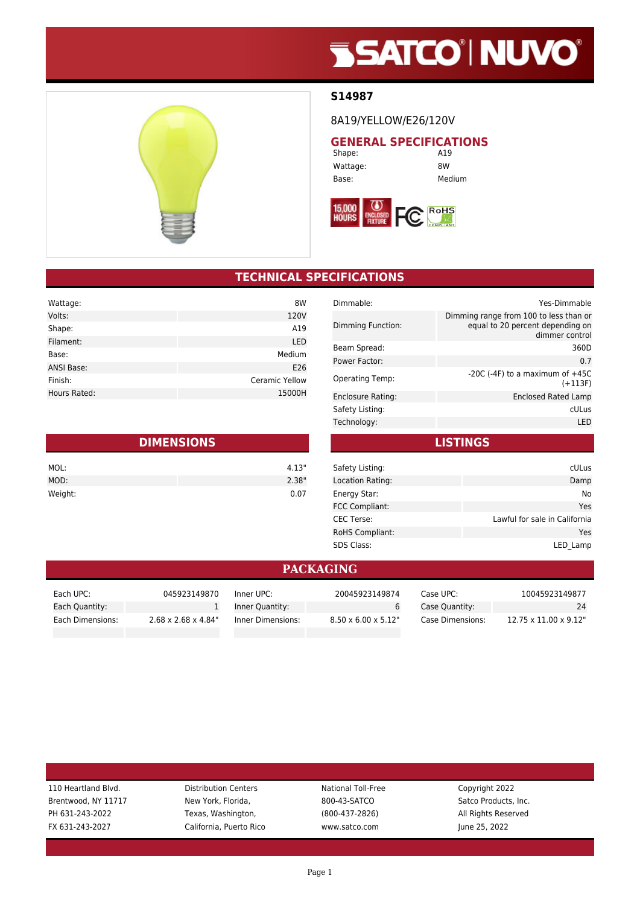# **SSATCO' NUVO'**

#### **S14987**

8A19/YELLOW/E26/120V

**GENERAL SPECIFICATIONS**<br>Shape: **A19** Shape:

Wattage: 8W Base: Medium



| <b>TECHNICAL SPECIFICATIONS</b> |  |  |
|---------------------------------|--|--|
|                                 |  |  |
|                                 |  |  |

| 8W                    |
|-----------------------|
| 120V                  |
| A19                   |
| LED                   |
| Medium                |
| E26                   |
| <b>Ceramic Yellow</b> |
| 15000H                |
|                       |

| <b>DIMENSIONS</b> |       |  |
|-------------------|-------|--|
| MOL:              | 4.13" |  |
| MOD:              | 2.38" |  |
| Weight:           | 0.07  |  |

| Dimmable:              | Yes-Dimmable                                                                                 |
|------------------------|----------------------------------------------------------------------------------------------|
| Dimming Function:      | Dimming range from 100 to less than or<br>equal to 20 percent depending on<br>dimmer control |
| Beam Spread:           | 360D                                                                                         |
| Power Factor:          | 0.7                                                                                          |
| <b>Operating Temp:</b> | $-20C$ ( $-4F$ ) to a maximum of $+45C$<br>$(+113F)$                                         |
| Enclosure Rating:      | Enclosed Rated Lamp                                                                          |
| Safety Listing:        | cULus                                                                                        |
| Technology:            | I FD                                                                                         |
|                        |                                                                                              |

| Safety Listing:        | cULus                         |
|------------------------|-------------------------------|
| Location Rating:       | Damp                          |
| Energy Star:           | No                            |
| <b>FCC Compliant:</b>  | Yes                           |
| <b>CEC Terse:</b>      | Lawful for sale in California |
| <b>RoHS Compliant:</b> | Yes                           |
| <b>SDS Class:</b>      | LED Lamp                      |

**LISTINGS**

#### **PACKAGING**

| Each UPC:        | 045923149870                     | Inner UPC:        | 20045923149874                   | Case UPC: .      | 10045923149877                     |
|------------------|----------------------------------|-------------------|----------------------------------|------------------|------------------------------------|
| Each Quantity:   |                                  | Inner Quantity:   |                                  | Case Quantity:   | 24                                 |
| Each Dimensions: | $2.68 \times 2.68 \times 4.84$ " | Inner Dimensions: | $8.50 \times 6.00 \times 5.12$ " | Case Dimensions: | $12.75 \times 11.00 \times 9.12$ " |

| 110 Heartland Blvd. | <b>Distribution Centers</b> | National Toll-Free | Copyright 2022       |  |
|---------------------|-----------------------------|--------------------|----------------------|--|
| Brentwood, NY 11717 | New York, Florida,          | 800-43-SATCO       | Satco Products, Inc. |  |
| PH 631-243-2022     | Texas, Washington,          | $(800-437-2826)$   | All Rights Reserved  |  |
| FX 631-243-2027     | California, Puerto Rico     | www.satco.com      | June 25, 2022        |  |
|                     |                             |                    |                      |  |